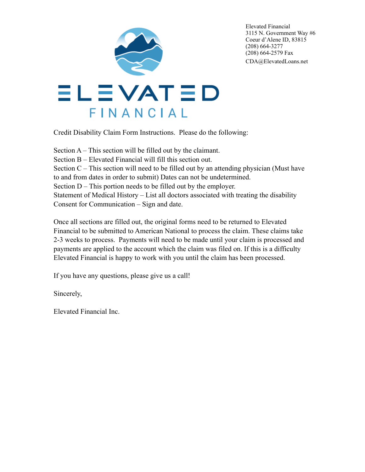

Elevated Financial 3115 N. Government Way #6 Coeur d'Alene ID, 83815 (208) 664-3277 (208) 664-2579 Fax CDA@ElevatedLoans.net

Credit Disability Claim Form Instructions. Please do the following:

Section A – This section will be filled out by the claimant. Section B – Elevated Financial will fill this section out. Section  $C$  – This section will need to be filled out by an attending physician (Must have to and from dates in order to submit) Dates can not be undetermined. Section D – This portion needs to be filled out by the employer. Statement of Medical History – List all doctors associated with treating the disability Consent for Communication – Sign and date.

Once all sections are filled out, the original forms need to be returned to Elevated Financial to be submitted to American National to process the claim. These claims take 2-3 weeks to process. Payments will need to be made until your claim is processed and payments are applied to the account which the claim was filed on. If this is a difficulty Elevated Financial is happy to work with you until the claim has been processed.

If you have any questions, please give us a call!

Sincerely,

Elevated Financial Inc.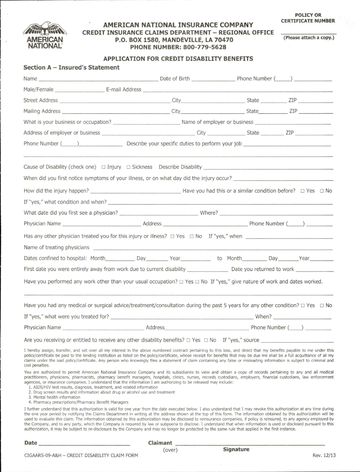

## AMERICAN NATIONAL INSURANCE COMPANY **CREDIT INSURANCE CLAIMS DEPARTMENT - REGIONAL OFFICE** P.O. BOX 1580, MANDEVILLE, LA 70470 PHONE NUMBER: 800-779-5628

(Please attach a copy.)

## **APPLICATION FOR CREDIT DISABILITY BENEFITS**

| Section A - Insured's Statement                                                                                                                                                                                                                                                                                                                                                                                                                                                                                                                                                                                                                                                                                                                                                                                                                                   |         |  |                       |
|-------------------------------------------------------------------------------------------------------------------------------------------------------------------------------------------------------------------------------------------------------------------------------------------------------------------------------------------------------------------------------------------------------------------------------------------------------------------------------------------------------------------------------------------------------------------------------------------------------------------------------------------------------------------------------------------------------------------------------------------------------------------------------------------------------------------------------------------------------------------|---------|--|-----------------------|
|                                                                                                                                                                                                                                                                                                                                                                                                                                                                                                                                                                                                                                                                                                                                                                                                                                                                   |         |  |                       |
|                                                                                                                                                                                                                                                                                                                                                                                                                                                                                                                                                                                                                                                                                                                                                                                                                                                                   |         |  |                       |
|                                                                                                                                                                                                                                                                                                                                                                                                                                                                                                                                                                                                                                                                                                                                                                                                                                                                   |         |  |                       |
|                                                                                                                                                                                                                                                                                                                                                                                                                                                                                                                                                                                                                                                                                                                                                                                                                                                                   |         |  |                       |
|                                                                                                                                                                                                                                                                                                                                                                                                                                                                                                                                                                                                                                                                                                                                                                                                                                                                   |         |  |                       |
|                                                                                                                                                                                                                                                                                                                                                                                                                                                                                                                                                                                                                                                                                                                                                                                                                                                                   |         |  |                       |
|                                                                                                                                                                                                                                                                                                                                                                                                                                                                                                                                                                                                                                                                                                                                                                                                                                                                   |         |  |                       |
|                                                                                                                                                                                                                                                                                                                                                                                                                                                                                                                                                                                                                                                                                                                                                                                                                                                                   |         |  |                       |
| When did you first notice symptoms of your illness, or on what day did the injury occur?                                                                                                                                                                                                                                                                                                                                                                                                                                                                                                                                                                                                                                                                                                                                                                          |         |  |                       |
|                                                                                                                                                                                                                                                                                                                                                                                                                                                                                                                                                                                                                                                                                                                                                                                                                                                                   |         |  |                       |
|                                                                                                                                                                                                                                                                                                                                                                                                                                                                                                                                                                                                                                                                                                                                                                                                                                                                   |         |  |                       |
|                                                                                                                                                                                                                                                                                                                                                                                                                                                                                                                                                                                                                                                                                                                                                                                                                                                                   |         |  |                       |
|                                                                                                                                                                                                                                                                                                                                                                                                                                                                                                                                                                                                                                                                                                                                                                                                                                                                   |         |  |                       |
| Has any other physician treated you for this injury or illness? $\Box$ Yes $\Box$ No If "yes," when                                                                                                                                                                                                                                                                                                                                                                                                                                                                                                                                                                                                                                                                                                                                                               |         |  |                       |
|                                                                                                                                                                                                                                                                                                                                                                                                                                                                                                                                                                                                                                                                                                                                                                                                                                                                   |         |  |                       |
|                                                                                                                                                                                                                                                                                                                                                                                                                                                                                                                                                                                                                                                                                                                                                                                                                                                                   |         |  |                       |
| First date you were entirely away from work due to current disability __________________ Date you returned to work                                                                                                                                                                                                                                                                                                                                                                                                                                                                                                                                                                                                                                                                                                                                                |         |  |                       |
| Have you performed any work other than your usual occupation? $\Box$ Yes $\Box$ No If "yes," give nature of work and dates worked.                                                                                                                                                                                                                                                                                                                                                                                                                                                                                                                                                                                                                                                                                                                                |         |  |                       |
| Have you had any medical or surgical advice/treatment/consultation during the past 5 years for any other condition? $\Box$ Yes $\Box$ No                                                                                                                                                                                                                                                                                                                                                                                                                                                                                                                                                                                                                                                                                                                          |         |  |                       |
|                                                                                                                                                                                                                                                                                                                                                                                                                                                                                                                                                                                                                                                                                                                                                                                                                                                                   |         |  |                       |
| Physician Name<br>the control of the control of the control of the control of the control of the control of                                                                                                                                                                                                                                                                                                                                                                                                                                                                                                                                                                                                                                                                                                                                                       | Address |  | Phone Number $(\_\_)$ |
| Are you receiving or entitled to receive any other disability benefits? $\Box$ Yes $\Box$ No If "yes," source                                                                                                                                                                                                                                                                                                                                                                                                                                                                                                                                                                                                                                                                                                                                                     |         |  |                       |
| I hereby assign, transfer, and set over all my interest in the above numbered contract pertaining to this loss, and direct that my benefits payable to me under this<br>policy/certificate be paid to the lending institution as listed on the policy/certificate, whose receipt for benefits that may be due me shall be a full acquittance of all my<br>claims under the said policy/certificate. Any person who knowingly files a statement of claim containing any false or misleading information is subject to criminal and<br>civil penalties.                                                                                                                                                                                                                                                                                                             |         |  |                       |
| You are authorized to permit American National Insurance Company and its subsidiaries to view and obtain a copy of records pertaining to any and all medical<br>practitioners, physicians, pharmacists, pharmacy benefit managers, hospitals, clinics, nurses, records custodians, employers, financial custodians, law enforcement<br>agencies, or insurance companies. I understand that the information I am authorizing to be released may include:<br>1. AIDS/HIV test results, diagnosis, treatment, and related information<br>2. Drug screen results and information about drug or alcohol use and treatment<br>3. Mental health information<br>4. Pharmacy prescriptions/Pharmacy Benefit Managers                                                                                                                                                       |         |  |                       |
| I further understand that this authorization is valid for one year from the date executed below. I also understand that I may revoke this authorization at any time during<br>the one year period by notifying the Claims Department in writing at the address shown at the top of this form. The information obtained by this authorization will be<br>used to evaluate this claim. The information obtained by this authorization may be disclosed to reinsurance companies, if policy is reinsured, to any agency employed by<br>the Company, and to any party, which the Company is required by law or subpoena to disclose. I understand that when information is used or disclosed pursuant to this<br>authorization, it may be subject to re-disclosure by the Company and may no longer be protected by the same rule that applied in the first instance. |         |  |                       |

Date\_

Claimant (over)

CIGAARS-09-A&H - CREDIT DISABILITY CLAIM FORM